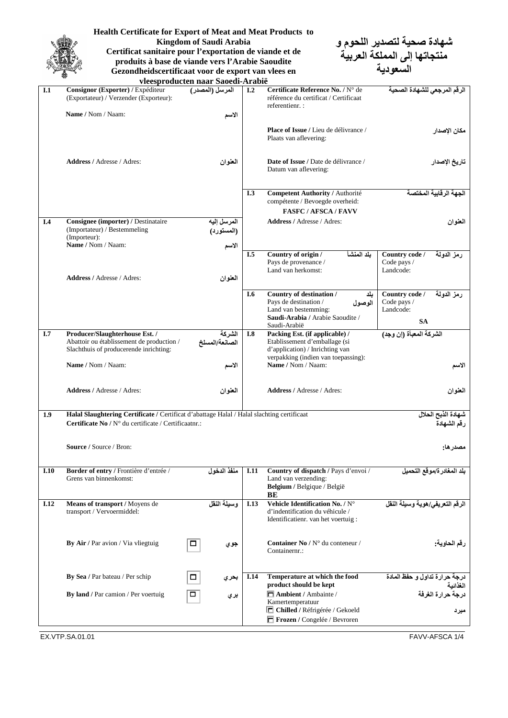

**Health Certificate for Export of Meat and Meat Products to Kingdom of Saudi Arabia Certificat sanitaire pour l'exportation de viande et de produits à base de viande vers l'Arabie Saoudite**

**Gezondheidscertificaat voor de export van vlees en** 

**شهادة صحية لتصدير اللحوم و منتجاتها إلى المملكة العربية السعودية**

| Consignor (Exporter) / Expéditeur<br>المرسل (المصدر)<br>I.2<br>Certificate Reference No. / N° de<br>I.1<br>(Exportateur) / Verzender (Exporteur):<br>référence du certificat / Certificaat<br>referentienr. :<br>Name / Nom / Naam:<br>الأسم<br>Place of Issue / Lieu de délivrance /<br>Plaats van aflevering:<br><b>Address / Adresse / Adres:</b><br>Date of Issue / Date de délivrance /<br>العنوان<br>Datum van aflevering:<br><b>Competent Authority / Authorité</b><br>I.3<br>compétente / Bevoegde overheid:<br><b>FASFC / AFSCA / FAVV</b><br>Consignee (importer) / Destinataire<br><b>Address / Adresse / Adres:</b><br>I.4<br>المرسل إليه<br>(Importateur) / Bestemmeling<br>(المستورد)<br>(Importeur):<br>Name / Nom / Naam:<br>الاسم<br>بلد المنشأ<br>I.5<br>Country of origin /<br>Country code /<br>رمز الدولة<br>Pays de provenance /<br>Code pays /<br>Land van herkomst:<br>Landcode:<br><b>Address / Adresse / Adres:</b><br>العنوان<br>Country of destination /<br>Country code /<br>رمز الدولمة<br>I.6<br>بلد<br>Pays de destination /<br>Code pays /<br>الوصول<br>Land van bestemming:<br>Landcode:<br>Saudi-Arabia / Arabie Saoudite /<br><b>SA</b><br>Saudi-Arabië<br>الشركة المعبأة (إن وجد)<br>I.7<br>الشركة<br>Producer/Slaughterhouse Est. /<br>I.8<br>Packing Est. (if applicable) /<br>Etablissement d'emballage (si<br>Abattoir ou établissement de production /<br>الصانعة/المسلخ<br>d'application) / Inrichting van<br>Slachthuis of producerende inrichting:<br>verpakking (indien van toepassing):<br>Name / Nom / Naam:<br>Name / Nom / Naam:<br>الأسم<br>Address / Adresse / Adres:<br><b>Address / Adresse / Adres:</b><br>العنوان<br>Halal Slaughtering Certificate / Certificat d'abattage Halal / Halal slachting certificaat<br>1.9<br>شهادة الذبح الحلال<br>Certificate No / N° du certificate / Certificaatnr.:<br>رقم الشهادة<br>Source / Source / Bron:<br>مصدر ها:<br>Border of entry / Frontière d'entrée /<br>Country of dispatch / Pays d'envoi /<br>منفذ الدخول<br>I.10<br>I.11<br>Grens van binnenkomst:<br>Land van verzending:<br>Belgium / Belgique / België<br>BE<br>وسيلة النقل<br>Vehicle Identification No. / N°<br><b>I.12</b><br>Means of transport / Moyens de<br><b>I.13</b><br>transport / Vervoermiddel:<br>d'indentification du véhicule /<br>Identificatienr. van het voertuig:<br>Container No / N° du conteneur /<br>By Air / Par avion / Via vliegtuig<br>$\Box$<br>جوي<br>Containernr.:<br>Temperature at which the food<br>By Sea / Par bateau / Per schip<br><b>I.14</b><br>□<br>بحري<br>product should be kept<br>$\Box$ Ambient / Ambainte /<br>By land / Par camion / Per voertuig<br>□<br>بري<br>Kamertemperatuur<br>□ Chilled / Réfrigérée / Gekoeld | vleesproducten naar Saoedi-Arabië |  |  |                              |                                           |  |  |
|-------------------------------------------------------------------------------------------------------------------------------------------------------------------------------------------------------------------------------------------------------------------------------------------------------------------------------------------------------------------------------------------------------------------------------------------------------------------------------------------------------------------------------------------------------------------------------------------------------------------------------------------------------------------------------------------------------------------------------------------------------------------------------------------------------------------------------------------------------------------------------------------------------------------------------------------------------------------------------------------------------------------------------------------------------------------------------------------------------------------------------------------------------------------------------------------------------------------------------------------------------------------------------------------------------------------------------------------------------------------------------------------------------------------------------------------------------------------------------------------------------------------------------------------------------------------------------------------------------------------------------------------------------------------------------------------------------------------------------------------------------------------------------------------------------------------------------------------------------------------------------------------------------------------------------------------------------------------------------------------------------------------------------------------------------------------------------------------------------------------------------------------------------------------------------------------------------------------------------------------------------------------------------------------------------------------------------------------------------------------------------------------------------------------------------------------------------------------------------------------------------------------------------------------------------------------------------------------------------------------------------------------------------------------------------------------------------------------------------------|-----------------------------------|--|--|------------------------------|-------------------------------------------|--|--|
|                                                                                                                                                                                                                                                                                                                                                                                                                                                                                                                                                                                                                                                                                                                                                                                                                                                                                                                                                                                                                                                                                                                                                                                                                                                                                                                                                                                                                                                                                                                                                                                                                                                                                                                                                                                                                                                                                                                                                                                                                                                                                                                                                                                                                                                                                                                                                                                                                                                                                                                                                                                                                                                                                                                                     |                                   |  |  |                              | الرقم المرجعى للشهادة الصحبة              |  |  |
|                                                                                                                                                                                                                                                                                                                                                                                                                                                                                                                                                                                                                                                                                                                                                                                                                                                                                                                                                                                                                                                                                                                                                                                                                                                                                                                                                                                                                                                                                                                                                                                                                                                                                                                                                                                                                                                                                                                                                                                                                                                                                                                                                                                                                                                                                                                                                                                                                                                                                                                                                                                                                                                                                                                                     |                                   |  |  |                              |                                           |  |  |
|                                                                                                                                                                                                                                                                                                                                                                                                                                                                                                                                                                                                                                                                                                                                                                                                                                                                                                                                                                                                                                                                                                                                                                                                                                                                                                                                                                                                                                                                                                                                                                                                                                                                                                                                                                                                                                                                                                                                                                                                                                                                                                                                                                                                                                                                                                                                                                                                                                                                                                                                                                                                                                                                                                                                     |                                   |  |  |                              | مكان الإصدار                              |  |  |
|                                                                                                                                                                                                                                                                                                                                                                                                                                                                                                                                                                                                                                                                                                                                                                                                                                                                                                                                                                                                                                                                                                                                                                                                                                                                                                                                                                                                                                                                                                                                                                                                                                                                                                                                                                                                                                                                                                                                                                                                                                                                                                                                                                                                                                                                                                                                                                                                                                                                                                                                                                                                                                                                                                                                     |                                   |  |  |                              | تاريخ الإصدار                             |  |  |
|                                                                                                                                                                                                                                                                                                                                                                                                                                                                                                                                                                                                                                                                                                                                                                                                                                                                                                                                                                                                                                                                                                                                                                                                                                                                                                                                                                                                                                                                                                                                                                                                                                                                                                                                                                                                                                                                                                                                                                                                                                                                                                                                                                                                                                                                                                                                                                                                                                                                                                                                                                                                                                                                                                                                     |                                   |  |  |                              | الجهة الرقابية المختصة                    |  |  |
|                                                                                                                                                                                                                                                                                                                                                                                                                                                                                                                                                                                                                                                                                                                                                                                                                                                                                                                                                                                                                                                                                                                                                                                                                                                                                                                                                                                                                                                                                                                                                                                                                                                                                                                                                                                                                                                                                                                                                                                                                                                                                                                                                                                                                                                                                                                                                                                                                                                                                                                                                                                                                                                                                                                                     |                                   |  |  |                              |                                           |  |  |
|                                                                                                                                                                                                                                                                                                                                                                                                                                                                                                                                                                                                                                                                                                                                                                                                                                                                                                                                                                                                                                                                                                                                                                                                                                                                                                                                                                                                                                                                                                                                                                                                                                                                                                                                                                                                                                                                                                                                                                                                                                                                                                                                                                                                                                                                                                                                                                                                                                                                                                                                                                                                                                                                                                                                     |                                   |  |  |                              | العنوان                                   |  |  |
|                                                                                                                                                                                                                                                                                                                                                                                                                                                                                                                                                                                                                                                                                                                                                                                                                                                                                                                                                                                                                                                                                                                                                                                                                                                                                                                                                                                                                                                                                                                                                                                                                                                                                                                                                                                                                                                                                                                                                                                                                                                                                                                                                                                                                                                                                                                                                                                                                                                                                                                                                                                                                                                                                                                                     |                                   |  |  |                              |                                           |  |  |
|                                                                                                                                                                                                                                                                                                                                                                                                                                                                                                                                                                                                                                                                                                                                                                                                                                                                                                                                                                                                                                                                                                                                                                                                                                                                                                                                                                                                                                                                                                                                                                                                                                                                                                                                                                                                                                                                                                                                                                                                                                                                                                                                                                                                                                                                                                                                                                                                                                                                                                                                                                                                                                                                                                                                     |                                   |  |  |                              |                                           |  |  |
|                                                                                                                                                                                                                                                                                                                                                                                                                                                                                                                                                                                                                                                                                                                                                                                                                                                                                                                                                                                                                                                                                                                                                                                                                                                                                                                                                                                                                                                                                                                                                                                                                                                                                                                                                                                                                                                                                                                                                                                                                                                                                                                                                                                                                                                                                                                                                                                                                                                                                                                                                                                                                                                                                                                                     |                                   |  |  |                              |                                           |  |  |
|                                                                                                                                                                                                                                                                                                                                                                                                                                                                                                                                                                                                                                                                                                                                                                                                                                                                                                                                                                                                                                                                                                                                                                                                                                                                                                                                                                                                                                                                                                                                                                                                                                                                                                                                                                                                                                                                                                                                                                                                                                                                                                                                                                                                                                                                                                                                                                                                                                                                                                                                                                                                                                                                                                                                     |                                   |  |  |                              |                                           |  |  |
|                                                                                                                                                                                                                                                                                                                                                                                                                                                                                                                                                                                                                                                                                                                                                                                                                                                                                                                                                                                                                                                                                                                                                                                                                                                                                                                                                                                                                                                                                                                                                                                                                                                                                                                                                                                                                                                                                                                                                                                                                                                                                                                                                                                                                                                                                                                                                                                                                                                                                                                                                                                                                                                                                                                                     |                                   |  |  |                              |                                           |  |  |
|                                                                                                                                                                                                                                                                                                                                                                                                                                                                                                                                                                                                                                                                                                                                                                                                                                                                                                                                                                                                                                                                                                                                                                                                                                                                                                                                                                                                                                                                                                                                                                                                                                                                                                                                                                                                                                                                                                                                                                                                                                                                                                                                                                                                                                                                                                                                                                                                                                                                                                                                                                                                                                                                                                                                     |                                   |  |  |                              |                                           |  |  |
|                                                                                                                                                                                                                                                                                                                                                                                                                                                                                                                                                                                                                                                                                                                                                                                                                                                                                                                                                                                                                                                                                                                                                                                                                                                                                                                                                                                                                                                                                                                                                                                                                                                                                                                                                                                                                                                                                                                                                                                                                                                                                                                                                                                                                                                                                                                                                                                                                                                                                                                                                                                                                                                                                                                                     |                                   |  |  |                              | الاسم                                     |  |  |
|                                                                                                                                                                                                                                                                                                                                                                                                                                                                                                                                                                                                                                                                                                                                                                                                                                                                                                                                                                                                                                                                                                                                                                                                                                                                                                                                                                                                                                                                                                                                                                                                                                                                                                                                                                                                                                                                                                                                                                                                                                                                                                                                                                                                                                                                                                                                                                                                                                                                                                                                                                                                                                                                                                                                     |                                   |  |  |                              | العنوان                                   |  |  |
|                                                                                                                                                                                                                                                                                                                                                                                                                                                                                                                                                                                                                                                                                                                                                                                                                                                                                                                                                                                                                                                                                                                                                                                                                                                                                                                                                                                                                                                                                                                                                                                                                                                                                                                                                                                                                                                                                                                                                                                                                                                                                                                                                                                                                                                                                                                                                                                                                                                                                                                                                                                                                                                                                                                                     |                                   |  |  |                              |                                           |  |  |
|                                                                                                                                                                                                                                                                                                                                                                                                                                                                                                                                                                                                                                                                                                                                                                                                                                                                                                                                                                                                                                                                                                                                                                                                                                                                                                                                                                                                                                                                                                                                                                                                                                                                                                                                                                                                                                                                                                                                                                                                                                                                                                                                                                                                                                                                                                                                                                                                                                                                                                                                                                                                                                                                                                                                     |                                   |  |  |                              |                                           |  |  |
|                                                                                                                                                                                                                                                                                                                                                                                                                                                                                                                                                                                                                                                                                                                                                                                                                                                                                                                                                                                                                                                                                                                                                                                                                                                                                                                                                                                                                                                                                                                                                                                                                                                                                                                                                                                                                                                                                                                                                                                                                                                                                                                                                                                                                                                                                                                                                                                                                                                                                                                                                                                                                                                                                                                                     |                                   |  |  |                              |                                           |  |  |
|                                                                                                                                                                                                                                                                                                                                                                                                                                                                                                                                                                                                                                                                                                                                                                                                                                                                                                                                                                                                                                                                                                                                                                                                                                                                                                                                                                                                                                                                                                                                                                                                                                                                                                                                                                                                                                                                                                                                                                                                                                                                                                                                                                                                                                                                                                                                                                                                                                                                                                                                                                                                                                                                                                                                     |                                   |  |  |                              |                                           |  |  |
|                                                                                                                                                                                                                                                                                                                                                                                                                                                                                                                                                                                                                                                                                                                                                                                                                                                                                                                                                                                                                                                                                                                                                                                                                                                                                                                                                                                                                                                                                                                                                                                                                                                                                                                                                                                                                                                                                                                                                                                                                                                                                                                                                                                                                                                                                                                                                                                                                                                                                                                                                                                                                                                                                                                                     |                                   |  |  |                              | بلد المغادر ة/موقع التحميل                |  |  |
|                                                                                                                                                                                                                                                                                                                                                                                                                                                                                                                                                                                                                                                                                                                                                                                                                                                                                                                                                                                                                                                                                                                                                                                                                                                                                                                                                                                                                                                                                                                                                                                                                                                                                                                                                                                                                                                                                                                                                                                                                                                                                                                                                                                                                                                                                                                                                                                                                                                                                                                                                                                                                                                                                                                                     |                                   |  |  |                              | الرقم التعريفي/هوية وسيلة النقل           |  |  |
|                                                                                                                                                                                                                                                                                                                                                                                                                                                                                                                                                                                                                                                                                                                                                                                                                                                                                                                                                                                                                                                                                                                                                                                                                                                                                                                                                                                                                                                                                                                                                                                                                                                                                                                                                                                                                                                                                                                                                                                                                                                                                                                                                                                                                                                                                                                                                                                                                                                                                                                                                                                                                                                                                                                                     |                                   |  |  |                              | رقم الحاوية:                              |  |  |
|                                                                                                                                                                                                                                                                                                                                                                                                                                                                                                                                                                                                                                                                                                                                                                                                                                                                                                                                                                                                                                                                                                                                                                                                                                                                                                                                                                                                                                                                                                                                                                                                                                                                                                                                                                                                                                                                                                                                                                                                                                                                                                                                                                                                                                                                                                                                                                                                                                                                                                                                                                                                                                                                                                                                     |                                   |  |  |                              | درجة حرارة تداول و حفظ المادة<br>الغذائبة |  |  |
|                                                                                                                                                                                                                                                                                                                                                                                                                                                                                                                                                                                                                                                                                                                                                                                                                                                                                                                                                                                                                                                                                                                                                                                                                                                                                                                                                                                                                                                                                                                                                                                                                                                                                                                                                                                                                                                                                                                                                                                                                                                                                                                                                                                                                                                                                                                                                                                                                                                                                                                                                                                                                                                                                                                                     |                                   |  |  | Frozen / Congelée / Bevroren | درجة حرارة الغرفة<br>مبرد                 |  |  |

EX.VTP.SA.01.01 FAVV-AFSCA 1/4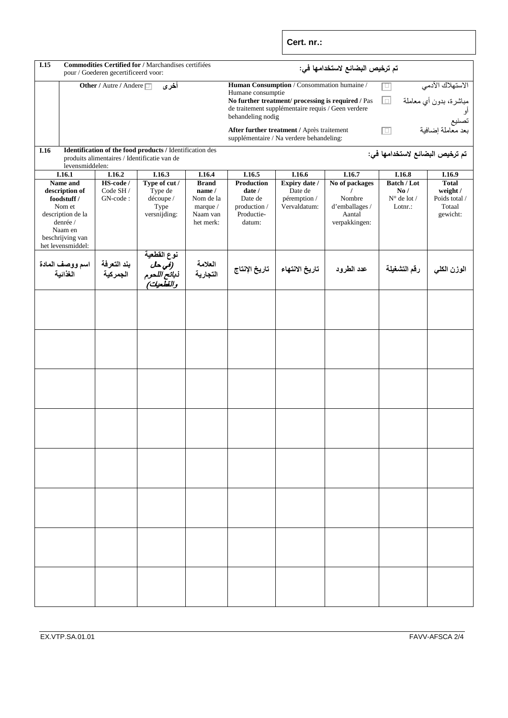**Cert. nr.:**

| Commodities Certified for / Marchandises certifiées<br>I.15<br>pour / Goederen gecertificeerd voor:                                      |                                         |                                                                                                          |                                                                          | تم ترخيص البضائع لاستخدامها في:                                                                                                                                                                                                                                   |                                                                                        |                                                                       |                                                                                 |                                                                 |
|------------------------------------------------------------------------------------------------------------------------------------------|-----------------------------------------|----------------------------------------------------------------------------------------------------------|--------------------------------------------------------------------------|-------------------------------------------------------------------------------------------------------------------------------------------------------------------------------------------------------------------------------------------------------------------|----------------------------------------------------------------------------------------|-----------------------------------------------------------------------|---------------------------------------------------------------------------------|-----------------------------------------------------------------|
|                                                                                                                                          | <b>Other / Autre / Andere</b> □<br>أخرى |                                                                                                          |                                                                          | Human Consumption / Consommation humaine /<br>الاستهلاك الآدمي<br>回<br>Humane consumptie<br>مباشرة، بدون أي معاملة<br>同<br>No further treatment/ processing is required / Pas<br>de traitement supplémentaire requis / Geen verdere<br>behandeling nodig<br>تصنيع |                                                                                        |                                                                       |                                                                                 |                                                                 |
|                                                                                                                                          |                                         |                                                                                                          |                                                                          |                                                                                                                                                                                                                                                                   | After further treatment / Après traitement<br>supplémentaire / Na verdere behandeling: |                                                                       | 面                                                                               | بعد معاملة إضافية                                               |
| I.16                                                                                                                                     |                                         | Identification of the food products / Identification des<br>produits alimentaires / Identificatie van de |                                                                          |                                                                                                                                                                                                                                                                   |                                                                                        |                                                                       | تم ترخيص البضائع لاستخدامها في:                                                 |                                                                 |
| levensmiddelen:                                                                                                                          |                                         |                                                                                                          |                                                                          |                                                                                                                                                                                                                                                                   |                                                                                        |                                                                       |                                                                                 |                                                                 |
| I.16.1                                                                                                                                   | I.16.2                                  | I.16.3                                                                                                   | I.16.4                                                                   | I.16.5                                                                                                                                                                                                                                                            | I.16.6                                                                                 | I.16.7                                                                | I.16.8                                                                          | I.16.9                                                          |
| Name and<br>description of<br>foodstuff /<br>Nom et<br>description de la<br>denrée /<br>Naam en<br>beschrijving van<br>het levensmiddel: | HS-code /<br>Code SH /<br>GN-code:      | Type of cut /<br>Type de<br>découpe /<br>Type<br>versnijding:                                            | <b>Brand</b><br>name /<br>Nom de la<br>marque /<br>Naam van<br>het merk: | <b>Production</b><br>date /<br>Date de<br>production /<br>Productie-<br>datum:                                                                                                                                                                                    | Expiry date /<br>Date de<br>péremption /<br>Vervaldatum:                               | No of packages<br>Nombre<br>d'emballages /<br>Aantal<br>verpakkingen: | <b>Batch / Lot</b><br>$\mathbf{N}\mathbf{o}$ /<br>$N^{\circ}$ de lot /<br>Lotn: | <b>Total</b><br>weight /<br>Poids total /<br>Totaal<br>gewicht: |
| اسم ووصف المادة<br>الغذائية                                                                                                              | بند التعرفة<br>الجمركية                 | نوع القطعية<br><i>(في حل</i><br>ذ <i>بائح اللحوم</i><br>و <i>القطعيات)</i>                               | العلامة<br>التجارية                                                      | تاريخ الإنتاج                                                                                                                                                                                                                                                     | تاريخ الانتهاء                                                                         | عدد الطرود                                                            | رقم التشغيلة                                                                    | الوزن الكلي                                                     |
|                                                                                                                                          |                                         |                                                                                                          |                                                                          |                                                                                                                                                                                                                                                                   |                                                                                        |                                                                       |                                                                                 |                                                                 |
|                                                                                                                                          |                                         |                                                                                                          |                                                                          |                                                                                                                                                                                                                                                                   |                                                                                        |                                                                       |                                                                                 |                                                                 |
|                                                                                                                                          |                                         |                                                                                                          |                                                                          |                                                                                                                                                                                                                                                                   |                                                                                        |                                                                       |                                                                                 |                                                                 |
|                                                                                                                                          |                                         |                                                                                                          |                                                                          |                                                                                                                                                                                                                                                                   |                                                                                        |                                                                       |                                                                                 |                                                                 |
|                                                                                                                                          |                                         |                                                                                                          |                                                                          |                                                                                                                                                                                                                                                                   |                                                                                        |                                                                       |                                                                                 |                                                                 |
|                                                                                                                                          |                                         |                                                                                                          |                                                                          |                                                                                                                                                                                                                                                                   |                                                                                        |                                                                       |                                                                                 |                                                                 |
|                                                                                                                                          |                                         |                                                                                                          |                                                                          |                                                                                                                                                                                                                                                                   |                                                                                        |                                                                       |                                                                                 |                                                                 |
|                                                                                                                                          |                                         |                                                                                                          |                                                                          |                                                                                                                                                                                                                                                                   |                                                                                        |                                                                       |                                                                                 |                                                                 |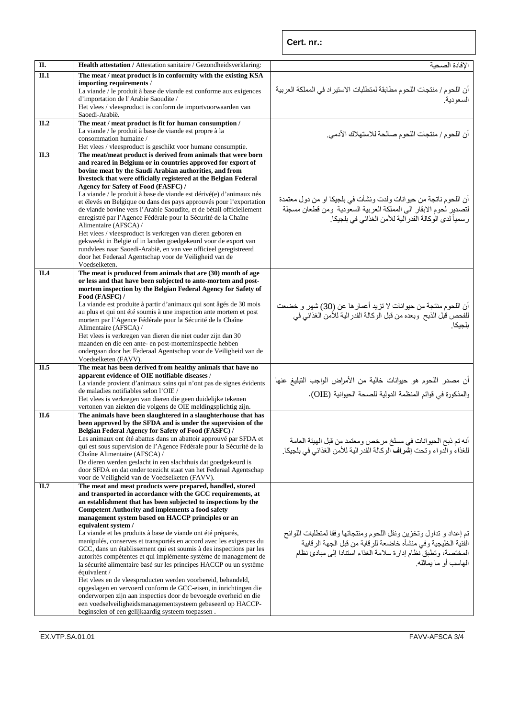| П.   | Health attestation / Attestation sanitaire / Gezondheidsverklaring:                                                                     | الإفادة الصحية                                                                                                                       |
|------|-----------------------------------------------------------------------------------------------------------------------------------------|--------------------------------------------------------------------------------------------------------------------------------------|
| II.1 | The meat /meat product is in conformity with the existing KSA                                                                           |                                                                                                                                      |
|      | importing requirements /                                                                                                                |                                                                                                                                      |
|      | La viande / le produit à base de viande est conforme aux exigences                                                                      | أن اللحوم / منتجات اللحوم مطابقة لمنطلبات الاستير اد في المملكة العربية                                                              |
|      | d'importation de l'Arabie Saoudite /                                                                                                    | السعو دبة.                                                                                                                           |
|      | Het vlees / vleesproduct is conform de importvoorwaarden van<br>Saoedi-Arabië.                                                          |                                                                                                                                      |
| II.2 | The meat / meat product is fit for human consumption /                                                                                  |                                                                                                                                      |
|      | La viande / le produit à base de viande est propre à la                                                                                 |                                                                                                                                      |
|      | consommation humaine /                                                                                                                  | أن اللحوم / منتجات اللحوم صـالحة للاستهلاك الآدمي.                                                                                   |
|      | Het vlees / vleesproduct is geschikt voor humane consumptie.                                                                            |                                                                                                                                      |
| II.3 | The meat/meat product is derived from animals that were born                                                                            |                                                                                                                                      |
|      | and reared in Belgium or in countries approved for export of                                                                            |                                                                                                                                      |
|      | bovine meat by the Saudi Arabian authorities, and from                                                                                  |                                                                                                                                      |
|      | livestock that were officially registered at the Belgian Federal                                                                        |                                                                                                                                      |
|      | Agency for Safety of Food (FASFC) /<br>La viande / le produit à base de viande est dérivé(e) d'animaux nés                              |                                                                                                                                      |
|      | et élevés en Belgique ou dans des pays approuvés pour l'exportation                                                                     | أن اللحوم ناتجة من حيوانات ولدت ونشأت في بلجيكا او من دول معتمدة                                                                     |
|      | de viande bovine vers l'Arabie Saoudite, et de bétail officiellement                                                                    | لتصدير لحوم الابقار الى المملكة العربية السعودية ومن قطعان مسجلة                                                                     |
|      | enregistré par l'Agence Fédérale pour la Sécurité de la Chaîne                                                                          | ر سمياً لدى الوكالة الفدر الية للأمن الغذائي في بلجيكا.                                                                              |
|      | Alimentaire (AFSCA) /                                                                                                                   |                                                                                                                                      |
|      | Het vlees / vleesproduct is verkregen van dieren geboren en                                                                             |                                                                                                                                      |
|      | gekweekt in België of in landen goedgekeurd voor de export van                                                                          |                                                                                                                                      |
|      | rundvlees naar Saoedi-Arabië, en van vee officieel geregistreerd                                                                        |                                                                                                                                      |
|      | door het Federaal Agentschap voor de Veiligheid van de                                                                                  |                                                                                                                                      |
| II.4 | Voedselketen.<br>The meat is produced from animals that are (30) month of age                                                           |                                                                                                                                      |
|      | or less and that have been subjected to ante-mortem and post-                                                                           |                                                                                                                                      |
|      | mortem inspection by the Belgian Federal Agency for Safety of                                                                           |                                                                                                                                      |
|      | Food (FASFC) /                                                                                                                          |                                                                                                                                      |
|      | La viande est produite à partir d'animaux qui sont âgés de 30 mois                                                                      | أن اللحوم منتجة من حيوانات لا تزيد أعمار ها عن (30) شهر و خضعت                                                                       |
|      | au plus et qui ont été soumis à une inspection ante mortem et post                                                                      | للفحص قبل الذبح وبعده من قبل الوكالة الفدر الية للأمن الغذائي في                                                                     |
|      | mortem par l'Agence Fédérale pour la Sécurité de la Chaîne                                                                              | بلجيكا.                                                                                                                              |
|      | Alimentaire (AFSCA) /                                                                                                                   |                                                                                                                                      |
|      | Het vlees is verkregen van dieren die niet ouder zijn dan 30<br>maanden en die een ante- en post-morteminspectie hebben                 |                                                                                                                                      |
|      | ondergaan door het Federaal Agentschap voor de Veiligheid van de                                                                        |                                                                                                                                      |
|      | Voedselketen (FAVV).                                                                                                                    |                                                                                                                                      |
| II.5 | The meat has been derived from healthy animals that have no                                                                             |                                                                                                                                      |
|      | apparent evidence of OIE notifiable diseases /                                                                                          |                                                                                                                                      |
|      | La viande provient d'animaux sains qui n'ont pas de signes évidents                                                                     | أن مصدر اللحوم هو حيوانات خالية من الأمراض الواجب التبليغ عنها                                                                       |
|      | de maladies notifiables selon l'OIE /                                                                                                   | والمذكورة في قوائم المنظمة الدولية للصحة الحيوانية (OIE).                                                                            |
|      | Het vlees is verkregen van dieren die geen duidelijke tekenen                                                                           |                                                                                                                                      |
| II.6 | vertonen van ziekten die volgens de OIE meldingsplichtig zijn.<br>The animals have been slaughtered in a slaughterhouse that has        |                                                                                                                                      |
|      | been approved by the SFDA and is under the supervision of the                                                                           |                                                                                                                                      |
|      | Belgian Federal Agency for Safety of Food (FASFC) /                                                                                     |                                                                                                                                      |
|      | Les animaux ont été abattus dans un abattoir approuvé par SFDA et                                                                       | أنه تم ذبح الحيوانات في مسلخ مرخص ومعتمد من قبل الهيئة العامة                                                                        |
|      | qui est sous supervision de l'Agence Fédérale pour la Sécurité de la                                                                    | للغذاء والَّدواء وتحت إشَّراف الوكالة الفدرالية للأمن الغذائي في بلجيكا.                                                             |
|      | Chaîne Alimentaire (AFSCA) /                                                                                                            |                                                                                                                                      |
|      | De dieren werden geslacht in een slachthuis dat goedgekeurd is                                                                          |                                                                                                                                      |
|      | door SFDA en dat onder toezicht staat van het Federaal Agentschap                                                                       |                                                                                                                                      |
| II.7 | voor de Veiligheid van de Voedselketen (FAVV).<br>The meat and meat products were prepared, handled, stored                             |                                                                                                                                      |
|      | and transported in accordance with the GCC requirements, at                                                                             |                                                                                                                                      |
|      | an establishment that has been subjected to inspections by the                                                                          |                                                                                                                                      |
|      | <b>Competent Authority and implements a food safety</b>                                                                                 |                                                                                                                                      |
|      | management system based on HACCP principles or an                                                                                       |                                                                                                                                      |
|      | equivalent system /                                                                                                                     |                                                                                                                                      |
|      | La viande et les produits à base de viande ont été préparés,                                                                            |                                                                                                                                      |
|      | manipulés, conserves et transportés en accord avec les exigences du                                                                     | تم إعداد و تداول وتخزين ونقل اللحوم ومنتجاتها وفقا لمتطلبات اللوائح<br>الفنية الخليجية وفي منشأه خاضعة للرقابة من قبل الجهة الرقابية |
|      | GCC, dans un établissement qui est soumis à des inspections par les<br>autorités compétentes et qui implémente système de management de | المختصة، وتطبق نظام إدارة سلامة الغذاء استنادا إلى مبادئ نظام                                                                        |
|      | la sécurité alimentaire basé sur les principes HACCP ou un système                                                                      | المهاسب أو ما يماثله.                                                                                                                |
|      | équivalent /                                                                                                                            |                                                                                                                                      |
|      | Het vlees en de vleesproducten werden voorbereid, behandeld,                                                                            |                                                                                                                                      |
|      | opgeslagen en vervoerd conform de GCC-eisen, in inrichtingen die                                                                        |                                                                                                                                      |
|      | onderworpen zijn aan inspecties door de bevoegde overheid en die                                                                        |                                                                                                                                      |
|      | een voedselveiligheidsmanagementsysteem gebaseerd op HACCP-                                                                             |                                                                                                                                      |
|      | beginselen of een gelijkaardig systeem toepassen.                                                                                       |                                                                                                                                      |